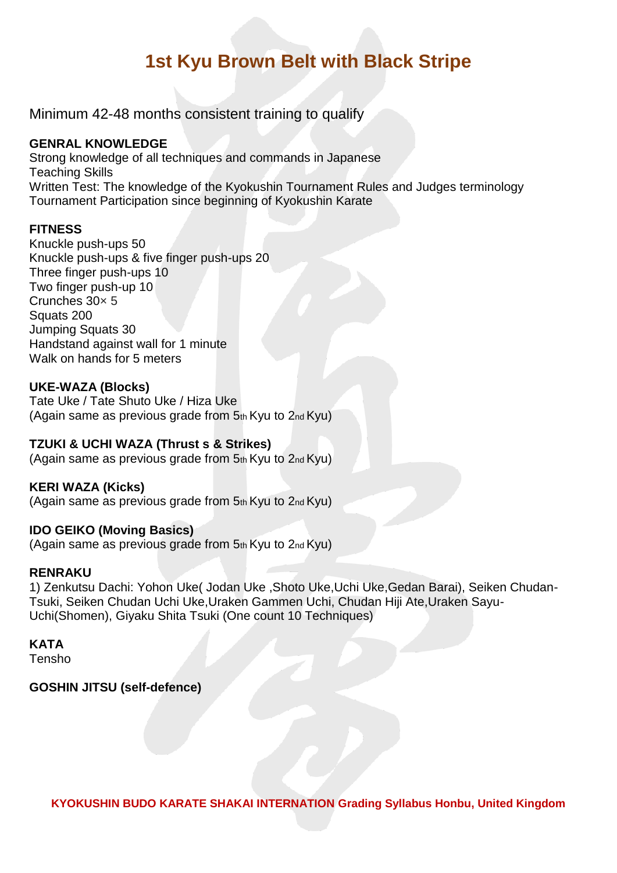# **1st Kyu Brown Belt with Black Stripe**

Minimum 42-48 months consistent training to qualify

#### **GENRAL KNOWLEDGE**

Strong knowledge of all techniques and commands in Japanese Teaching Skills Written Test: The knowledge of the Kyokushin Tournament Rules and Judges terminology Tournament Participation since beginning of Kyokushin Karate

#### **FITNESS**

Knuckle push-ups 50 Knuckle push-ups & five finger push-ups 20 Three finger push-ups 10 Two finger push-up 10 Crunches 30× 5 Squats 200 Jumping Squats 30 Handstand against wall for 1 minute Walk on hands for 5 meters

#### **UKE-WAZA (Blocks)**

Tate Uke / Tate Shuto Uke / Hiza Uke (Again same as previous grade from  $5<sub>th</sub>$  Kyu to  $2<sub>nd</sub>$  Kyu)

### **TZUKI & UCHI WAZA (Thrust s & Strikes)**

(Again same as previous grade from 5th Kyu to 2nd Kyu)

#### **KERI WAZA (Kicks)**

(Again same as previous grade from  $5<sub>th</sub>$  Kyu to  $2<sub>nd</sub>$  Kyu)

#### **IDO GEIKO (Moving Basics)**

(Again same as previous grade from 5th Kyu to 2nd Kyu)

#### **RENRAKU**

1) Zenkutsu Dachi: Yohon Uke( Jodan Uke ,Shoto Uke,Uchi Uke,Gedan Barai), Seiken Chudan-Tsuki, Seiken Chudan Uchi Uke,Uraken Gammen Uchi, Chudan Hiji Ate,Uraken Sayu-Uchi(Shomen), Giyaku Shita Tsuki (One count 10 Techniques)

## **KATA**

Tensho

#### **GOSHIN JITSU (self-defence)**

**KYOKUSHIN BUDO KARATE SHAKAI INTERNATION Grading Syllabus Honbu, United Kingdom**